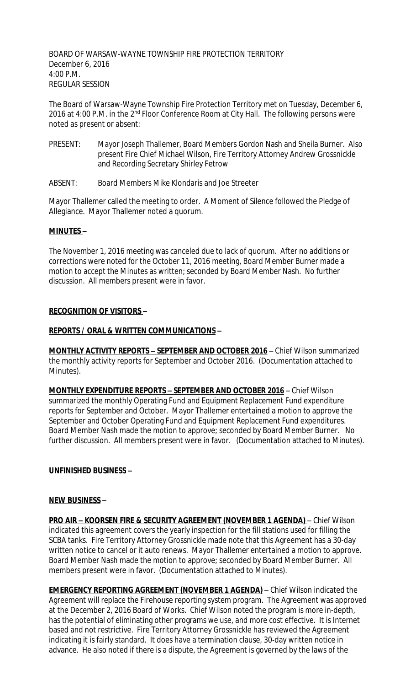BOARD OF WARSAW-WAYNE TOWNSHIP FIRE PROTECTION TERRITORY December 6, 2016 4:00 P.M. REGULAR SESSION

The Board of Warsaw-Wayne Township Fire Protection Territory met on Tuesday, December 6, 2016 at 4:00 P.M. in the 2<sup>nd</sup> Floor Conference Room at City Hall. The following persons were noted as present or absent:

- PRESENT: Mayor Joseph Thallemer, Board Members Gordon Nash and Sheila Burner. Also present Fire Chief Michael Wilson, Fire Territory Attorney Andrew Grossnickle and Recording Secretary Shirley Fetrow
- ABSENT: Board Members Mike Klondaris and Joe Streeter

Mayor Thallemer called the meeting to order. A Moment of Silence followed the Pledge of Allegiance. Mayor Thallemer noted a quorum.

#### **MINUTES –**

The November 1, 2016 meeting was canceled due to lack of quorum. After no additions or corrections were noted for the October 11, 2016 meeting, Board Member Burner made a motion to accept the Minutes as written; seconded by Board Member Nash. No further discussion. All members present were in favor.

#### **RECOGNITION OF VISITORS –**

### **REPORTS / ORAL & WRITTEN COMMUNICATIONS –**

**MONTHLY ACTIVITY REPORTS – SEPTEMBER AND OCTOBER 2016** – Chief Wilson summarized the monthly activity reports for September and October 2016. (Documentation attached to Minutes).

**MONTHLY EXPENDITURE REPORTS – SEPTEMBER AND OCTOBER 2016** – Chief Wilson summarized the monthly Operating Fund and Equipment Replacement Fund expenditure reports for September and October. Mayor Thallemer entertained a motion to approve the September and October Operating Fund and Equipment Replacement Fund expenditures. Board Member Nash made the motion to approve; seconded by Board Member Burner. No further discussion. All members present were in favor. (Documentation attached to Minutes).

## **UNFINISHED BUSINESS –**

#### **NEW BUSINESS –**

**PRO AIR – KOORSEN FIRE & SECURITY AGREEMENT (NOVEMBER 1 AGENDA)** – Chief Wilson indicated this agreement covers the yearly inspection for the fill stations used for filling the SCBA tanks. Fire Territory Attorney Grossnickle made note that this Agreement has a 30-day written notice to cancel or it auto renews. Mayor Thallemer entertained a motion to approve. Board Member Nash made the motion to approve; seconded by Board Member Burner. All members present were in favor. (Documentation attached to Minutes).

**EMERGENCY REPORTING AGREEMENT (NOVEMBER 1 AGENDA)** – Chief Wilson indicated the Agreement will replace the Firehouse reporting system program. The Agreement was approved at the December 2, 2016 Board of Works. Chief Wilson noted the program is more in-depth, has the potential of eliminating other programs we use, and more cost effective. It is Internet based and not restrictive. Fire Territory Attorney Grossnickle has reviewed the Agreement indicating it is fairly standard. It does have a termination clause, 30-day written notice in advance. He also noted if there is a dispute, the Agreement is governed by the laws of the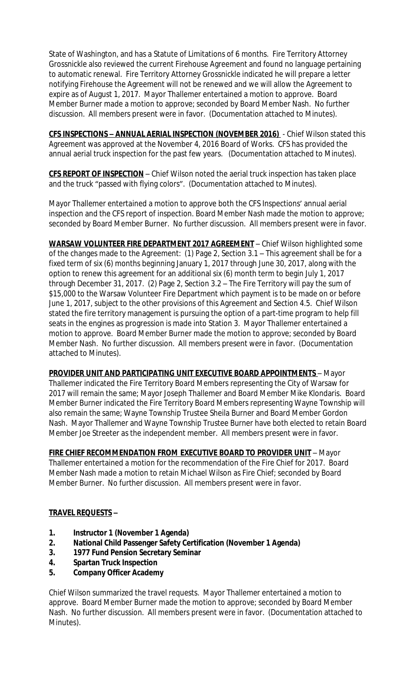State of Washington, and has a Statute of Limitations of 6 months. Fire Territory Attorney Grossnickle also reviewed the current Firehouse Agreement and found no language pertaining to automatic renewal. Fire Territory Attorney Grossnickle indicated he will prepare a letter notifying Firehouse the Agreement will not be renewed and we will allow the Agreement to expire as of August 1, 2017. Mayor Thallemer entertained a motion to approve. Board Member Burner made a motion to approve; seconded by Board Member Nash. No further discussion. All members present were in favor. (Documentation attached to Minutes).

**CFS INSPECTIONS – ANNUAL AERIAL INSPECTION (NOVEMBER 2016)** - Chief Wilson stated this Agreement was approved at the November 4, 2016 Board of Works. CFS has provided the annual aerial truck inspection for the past few years. (Documentation attached to Minutes).

**CFS REPORT OF INSPECTION** – Chief Wilson noted the aerial truck inspection has taken place and the truck "passed with flying colors". (Documentation attached to Minutes).

Mayor Thallemer entertained a motion to approve both the CFS Inspections' annual aerial inspection and the CFS report of inspection. Board Member Nash made the motion to approve; seconded by Board Member Burner. No further discussion. All members present were in favor.

**WARSAW VOLUNTEER FIRE DEPARTMENT 2017 AGREEMENT** – Chief Wilson highlighted some of the changes made to the Agreement: (1) Page 2, Section 3.1 – This agreement shall be for a fixed term of six (6) months beginning January 1, 2017 through June 30, 2017, along with the option to renew this agreement for an additional six (6) month term to begin July 1, 2017 through December 31, 2017. (2) Page 2, Section 3.2 – The Fire Territory will pay the sum of \$15,000 to the Warsaw Volunteer Fire Department which payment is to be made on or before June 1, 2017, subject to the other provisions of this Agreement and Section 4.5. Chief Wilson stated the fire territory management is pursuing the option of a part-time program to help fill seats in the engines as progression is made into Station 3. Mayor Thallemer entertained a motion to approve. Board Member Burner made the motion to approve; seconded by Board Member Nash. No further discussion. All members present were in favor. (Documentation attached to Minutes).

**PROVIDER UNIT AND PARTICIPATING UNIT EXECUTIVE BOARD APPOINTMENTS** – Mayor Thallemer indicated the Fire Territory Board Members representing the City of Warsaw for 2017 will remain the same; Mayor Joseph Thallemer and Board Member Mike Klondaris. Board Member Burner indicated the Fire Territory Board Members representing Wayne Township will also remain the same; Wayne Township Trustee Sheila Burner and Board Member Gordon Nash. Mayor Thallemer and Wayne Township Trustee Burner have both elected to retain Board Member Joe Streeter as the independent member. All members present were in favor.

**FIRE CHIEF RECOMMENDATION FROM EXECUTIVE BOARD TO PROVIDER UNIT** – Mayor Thallemer entertained a motion for the recommendation of the Fire Chief for 2017. Board Member Nash made a motion to retain Michael Wilson as Fire Chief; seconded by Board Member Burner. No further discussion. All members present were in favor.

## **TRAVEL REQUESTS –**

- **1. Instructor 1 (November 1 Agenda)**
- **2. National Child Passenger Safety Certification (November 1 Agenda)**
- **3. 1977 Fund Pension Secretary Seminar**
- **4. Spartan Truck Inspection**
- **5. Company Officer Academy**

Chief Wilson summarized the travel requests. Mayor Thallemer entertained a motion to approve. Board Member Burner made the motion to approve; seconded by Board Member Nash. No further discussion. All members present were in favor. (Documentation attached to Minutes).